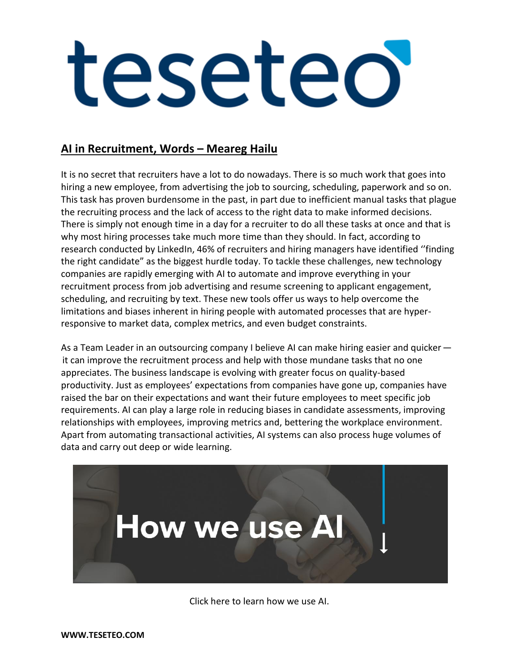### **AI in Recruitment, Words – Meareg Hailu**

It is no secret that recruiters have a lot to do nowadays. There is so much work that goes into hiring a new employee, from advertising the job to sourcing, scheduling, paperwork and so on. This task has proven burdensome in the past, in part due to inefficient manual tasks that plague the recruiting process and the lack of access to the right data to make informed decisions. There is simply not enough time in a day for a recruiter to do all these tasks at once and that is why most hiring processes take much more time than they should. In fact, according to research conducted by LinkedIn, 46% of recruiters and hiring managers have identified ''finding the right candidate" as the biggest hurdle today. To tackle these challenges, new technology companies are rapidly emerging with AI to automate and improve everything in your recruitment process from job advertising and resume screening to applicant engagement, scheduling, and recruiting by text. These new tools offer us ways to help overcome the limitations and biases inherent in hiring people with automated processes that are hyperresponsive to market data, complex metrics, and even budget constraints.

As a Team Leader in an outsourcing company I believe AI can make hiring easier and quicker   it can improve the recruitment process and help with those mundane tasks that no one appreciates. The business landscape is evolving with greater focus on quality-based productivity. Just as employees' expectations from companies have gone up, companies have raised the bar on their expectations and want their future employees to meet specific job requirements. AI can play a large role in reducing biases in candidate assessments, improving relationships with employees, improving metrics and, bettering the workplace environment. Apart from automating transactional activities, AI systems can also process huge volumes of data and carry out deep or wide learning.



Click here to learn how we use AI.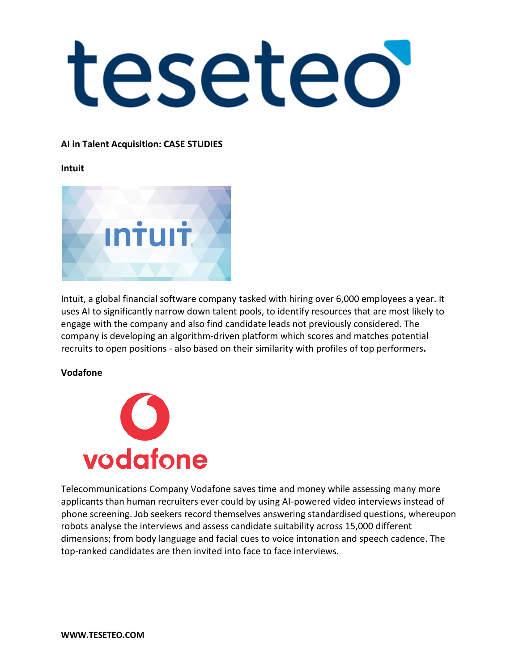### **AI in Talent Acquisition: CASE STUDIES**

### **Intuit**



Intuit, a global financial software company tasked with hiring over 6,000 employees a year. It uses AI to significantly narrow down talent pools, to identify resources that are most likely to engage with the company and also find candidate leads not previously considered. The company is developing an algorithm-driven platform which scores and matches potential recruits to open positions - also based on their similarity with profiles of top performers**.**

### **Vodafone**



Telecommunications Company Vodafone saves time and money while assessing many more applicants than human recruiters ever could by using AI-powered video interviews instead of phone screening. Job seekers record themselves answering standardised questions, whereupon robots analyse the interviews and assess candidate suitability across 15,000 different dimensions; from body language and facial cues to voice intonation and speech cadence. The top-ranked candidates are then invited into face to face interviews.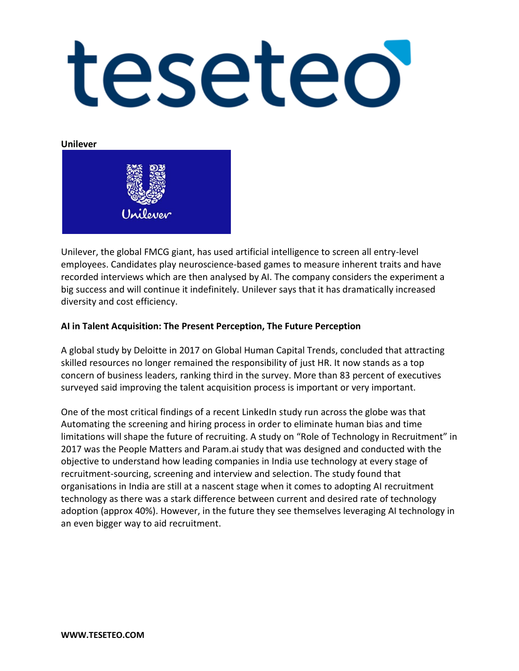**Unilever**



Unilever, the global FMCG giant, has used artificial intelligence to screen all entry-level employees. Candidates play neuroscience-based games to measure inherent traits and have recorded interviews which are then analysed by AI. The company considers the experiment a big success and will continue it indefinitely. Unilever says that it has dramatically increased diversity and cost efficiency.

### **AI in Talent Acquisition: The Present Perception, The Future Perception**

A global study by Deloitte in 2017 on Global Human Capital Trends, concluded that attracting skilled resources no longer remained the responsibility of just HR. It now stands as a top concern of business leaders, ranking third in the survey. More than 83 percent of executives surveyed said improving the talent acquisition process is important or very important.

One of the most critical findings of a recent LinkedIn study run across the globe was that Automating the screening and hiring process in order to eliminate human bias and time limitations will shape the future of recruiting. A study on "Role of Technology in Recruitment" in 2017 was the People Matters and Param.ai study that was designed and conducted with the objective to understand how leading companies in India use technology at every stage of recruitment-sourcing, screening and interview and selection. The study found that organisations in India are still at a nascent stage when it comes to adopting AI recruitment technology as there was a stark difference between current and desired rate of technology adoption (approx 40%). However, in the future they see themselves leveraging AI technology in an even bigger way to aid recruitment.